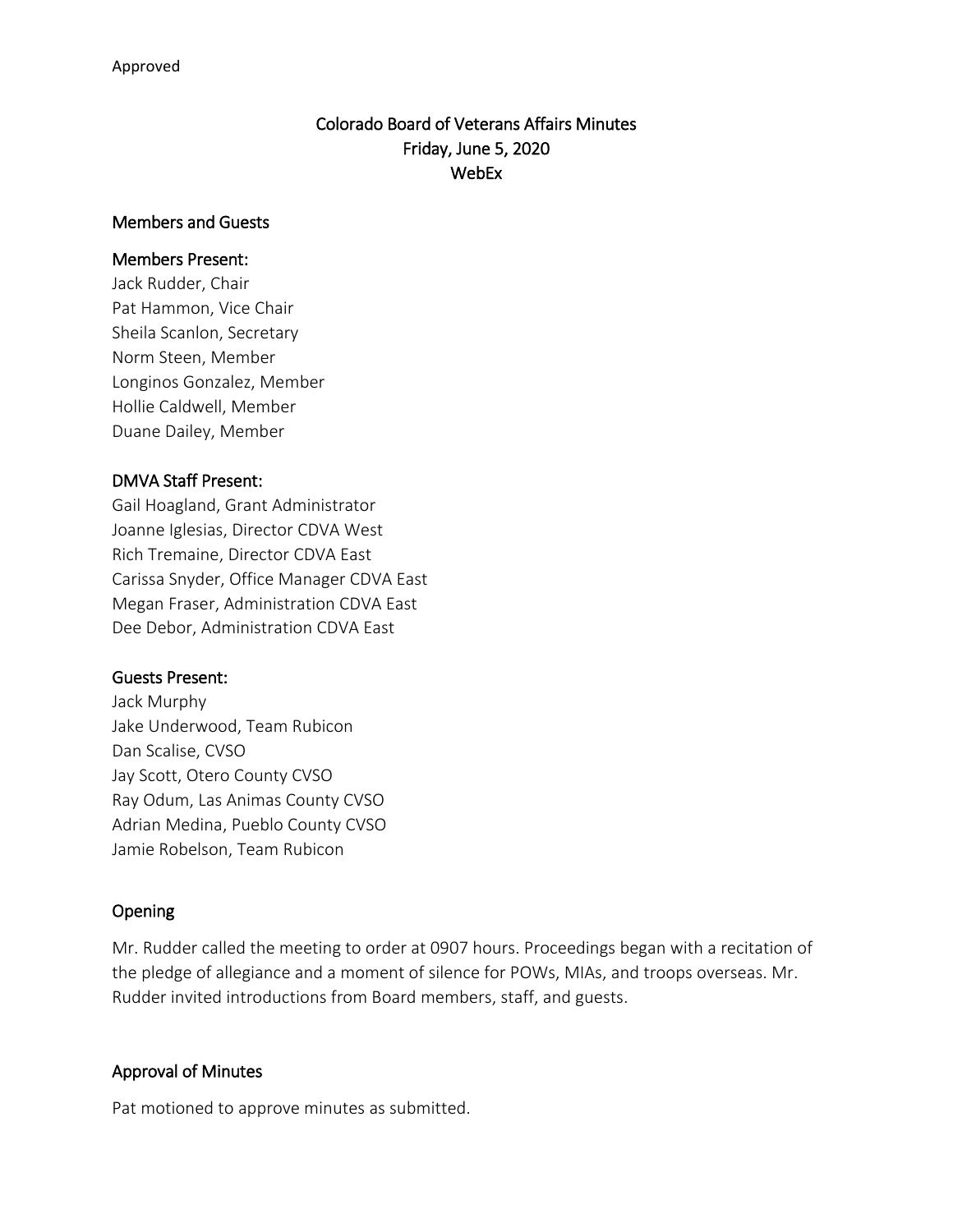# Colorado Board of Veterans Affairs Minutes Friday, June 5, 2020 WebEx

#### Members and Guests

#### Members Present:

Jack Rudder, Chair Pat Hammon, Vice Chair Sheila Scanlon, Secretary Norm Steen, Member Longinos Gonzalez, Member Hollie Caldwell, Member Duane Dailey, Member

### DMVA Staff Present:

Gail Hoagland, Grant Administrator Joanne Iglesias, Director CDVA West Rich Tremaine, Director CDVA East Carissa Snyder, Office Manager CDVA East Megan Fraser, Administration CDVA East Dee Debor, Administration CDVA East

### Guests Present:

Jack Murphy Jake Underwood, Team Rubicon Dan Scalise, CVSO Jay Scott, Otero County CVSO Ray Odum, Las Animas County CVSO Adrian Medina, Pueblo County CVSO Jamie Robelson, Team Rubicon

### Opening

Mr. Rudder called the meeting to order at 0907 hours. Proceedings began with a recitation of the pledge of allegiance and a moment of silence for POWs, MIAs, and troops overseas. Mr. Rudder invited introductions from Board members, staff, and guests.

### Approval of Minutes

Pat motioned to approve minutes as submitted.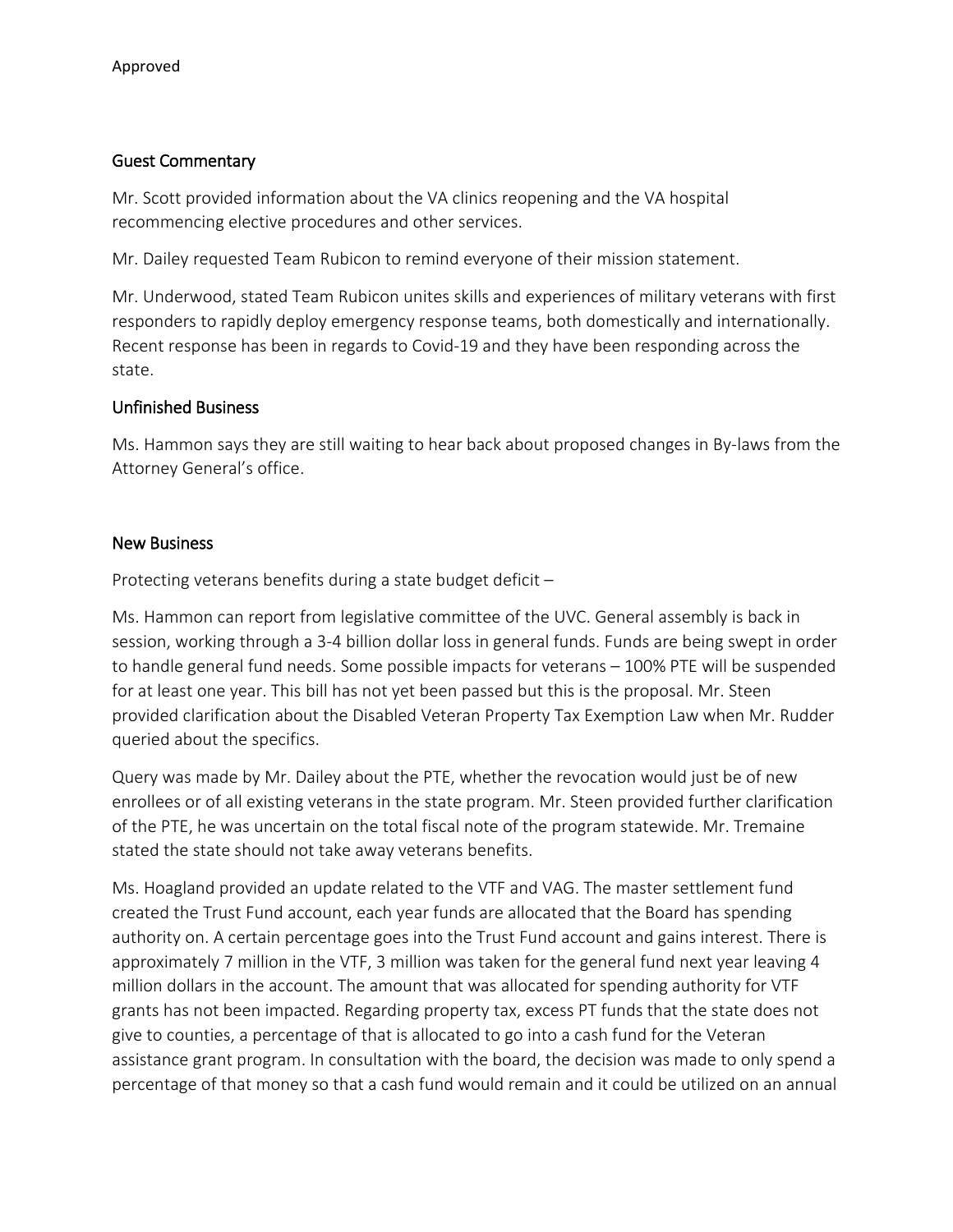### Guest Commentary

Mr. Scott provided information about the VA clinics reopening and the VA hospital recommencing elective procedures and other services.

Mr. Dailey requested Team Rubicon to remind everyone of their mission statement.

Mr. Underwood, stated Team Rubicon unites skills and experiences of military veterans with first responders to rapidly deploy emergency response teams, both domestically and internationally. Recent response has been in regards to Covid-19 and they have been responding across the state.

## Unfinished Business

Ms. Hammon says they are still waiting to hear back about proposed changes in By-laws from the Attorney General's office.

## New Business

Protecting veterans benefits during a state budget deficit –

Ms. Hammon can report from legislative committee of the UVC. General assembly is back in session, working through a 3-4 billion dollar loss in general funds. Funds are being swept in order to handle general fund needs. Some possible impacts for veterans – 100% PTE will be suspended for at least one year. This bill has not yet been passed but this is the proposal. Mr. Steen provided clarification about the Disabled Veteran Property Tax Exemption Law when Mr. Rudder queried about the specifics.

Query was made by Mr. Dailey about the PTE, whether the revocation would just be of new enrollees or of all existing veterans in the state program. Mr. Steen provided further clarification of the PTE, he was uncertain on the total fiscal note of the program statewide. Mr. Tremaine stated the state should not take away veterans benefits.

Ms. Hoagland provided an update related to the VTF and VAG. The master settlement fund created the Trust Fund account, each year funds are allocated that the Board has spending authority on. A certain percentage goes into the Trust Fund account and gains interest. There is approximately 7 million in the VTF, 3 million was taken for the general fund next year leaving 4 million dollars in the account. The amount that was allocated for spending authority for VTF grants has not been impacted. Regarding property tax, excess PT funds that the state does not give to counties, a percentage of that is allocated to go into a cash fund for the Veteran assistance grant program. In consultation with the board, the decision was made to only spend a percentage of that money so that a cash fund would remain and it could be utilized on an annual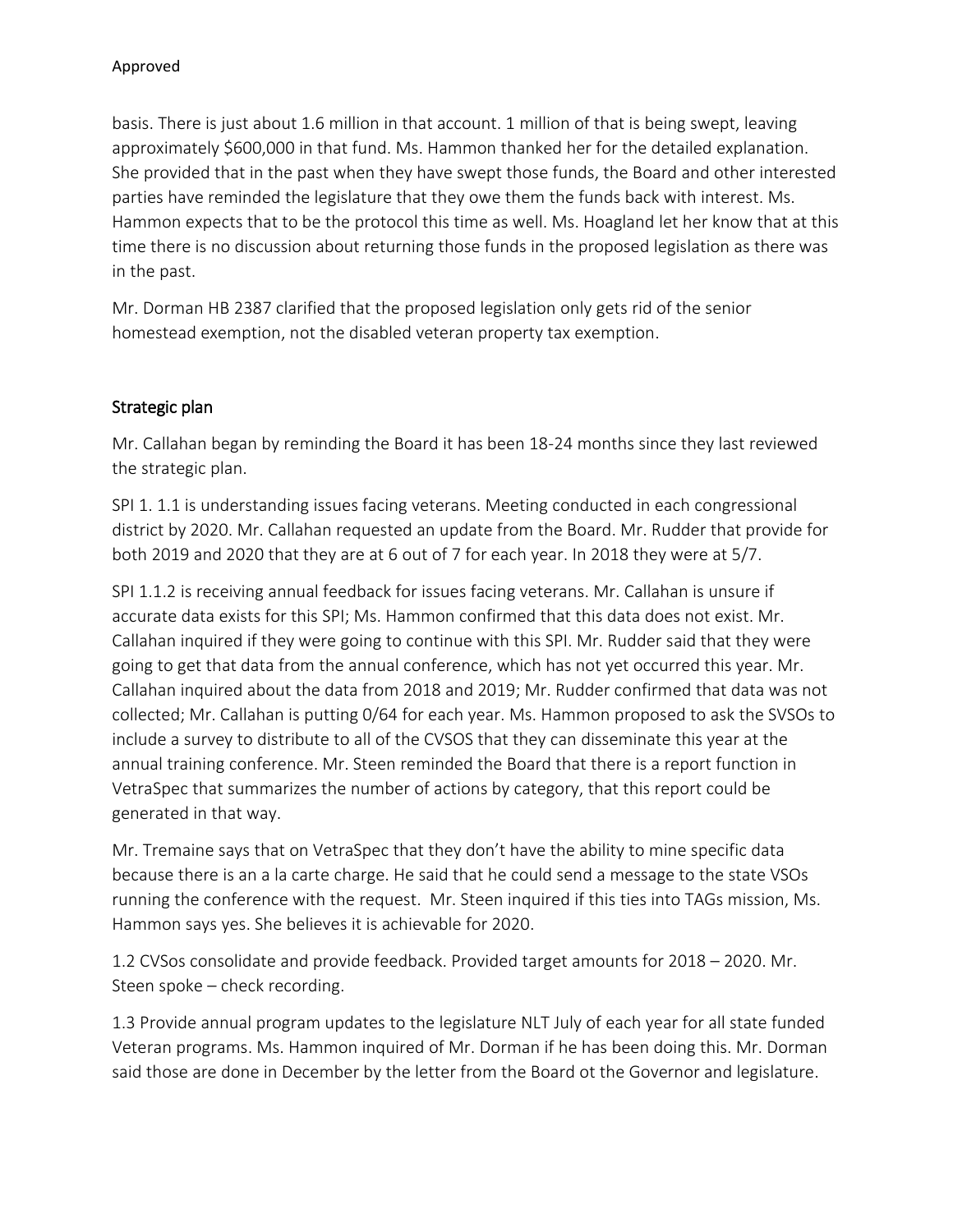basis. There is just about 1.6 million in that account. 1 million of that is being swept, leaving approximately \$600,000 in that fund. Ms. Hammon thanked her for the detailed explanation. She provided that in the past when they have swept those funds, the Board and other interested parties have reminded the legislature that they owe them the funds back with interest. Ms. Hammon expects that to be the protocol this time as well. Ms. Hoagland let her know that at this time there is no discussion about returning those funds in the proposed legislation as there was in the past.

Mr. Dorman HB 2387 clarified that the proposed legislation only gets rid of the senior homestead exemption, not the disabled veteran property tax exemption.

# Strategic plan

Mr. Callahan began by reminding the Board it has been 18-24 months since they last reviewed the strategic plan.

SPI 1. 1.1 is understanding issues facing veterans. Meeting conducted in each congressional district by 2020. Mr. Callahan requested an update from the Board. Mr. Rudder that provide for both 2019 and 2020 that they are at 6 out of 7 for each year. In 2018 they were at 5/7.

SPI 1.1.2 is receiving annual feedback for issues facing veterans. Mr. Callahan is unsure if accurate data exists for this SPI; Ms. Hammon confirmed that this data does not exist. Mr. Callahan inquired if they were going to continue with this SPI. Mr. Rudder said that they were going to get that data from the annual conference, which has not yet occurred this year. Mr. Callahan inquired about the data from 2018 and 2019; Mr. Rudder confirmed that data was not collected; Mr. Callahan is putting 0/64 for each year. Ms. Hammon proposed to ask the SVSOs to include a survey to distribute to all of the CVSOS that they can disseminate this year at the annual training conference. Mr. Steen reminded the Board that there is a report function in VetraSpec that summarizes the number of actions by category, that this report could be generated in that way.

Mr. Tremaine says that on VetraSpec that they don't have the ability to mine specific data because there is an a la carte charge. He said that he could send a message to the state VSOs running the conference with the request. Mr. Steen inquired if this ties into TAGs mission, Ms. Hammon says yes. She believes it is achievable for 2020.

1.2 CVSos consolidate and provide feedback. Provided target amounts for 2018 – 2020. Mr. Steen spoke – check recording.

1.3 Provide annual program updates to the legislature NLT July of each year for all state funded Veteran programs. Ms. Hammon inquired of Mr. Dorman if he has been doing this. Mr. Dorman said those are done in December by the letter from the Board ot the Governor and legislature.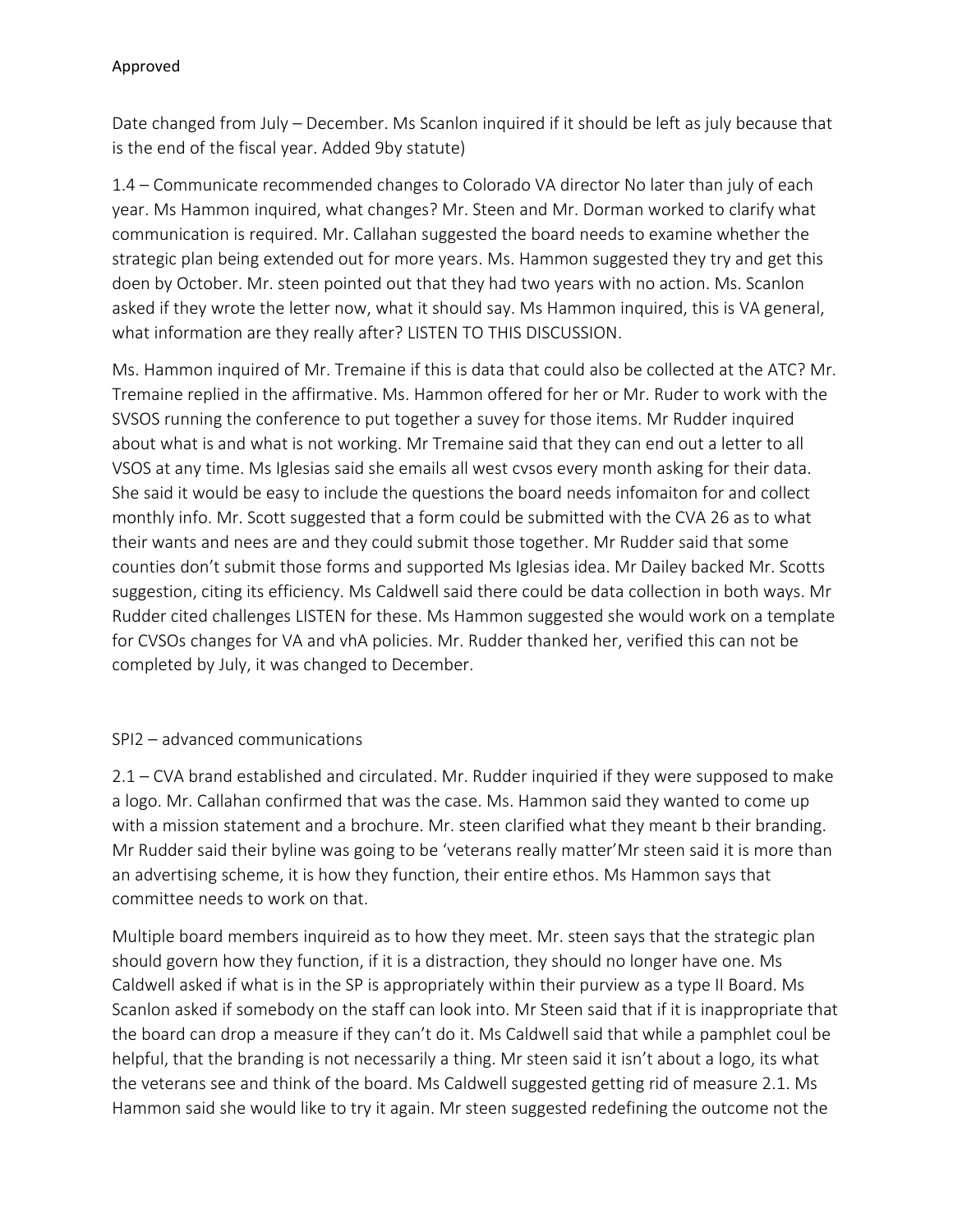Date changed from July – December. Ms Scanlon inquired if it should be left as july because that is the end of the fiscal year. Added 9by statute)

1.4 – Communicate recommended changes to Colorado VA director No later than july of each year. Ms Hammon inquired, what changes? Mr. Steen and Mr. Dorman worked to clarify what communication is required. Mr. Callahan suggested the board needs to examine whether the strategic plan being extended out for more years. Ms. Hammon suggested they try and get this doen by October. Mr. steen pointed out that they had two years with no action. Ms. Scanlon asked if they wrote the letter now, what it should say. Ms Hammon inquired, this is VA general, what information are they really after? LISTEN TO THIS DISCUSSION.

Ms. Hammon inquired of Mr. Tremaine if this is data that could also be collected at the ATC? Mr. Tremaine replied in the affirmative. Ms. Hammon offered for her or Mr. Ruder to work with the SVSOS running the conference to put together a suvey for those items. Mr Rudder inquired about what is and what is not working. Mr Tremaine said that they can end out a letter to all VSOS at any time. Ms Iglesias said she emails all west cvsos every month asking for their data. She said it would be easy to include the questions the board needs infomaiton for and collect monthly info. Mr. Scott suggested that a form could be submitted with the CVA 26 as to what their wants and nees are and they could submit those together. Mr Rudder said that some counties don't submit those forms and supported Ms Iglesias idea. Mr Dailey backed Mr. Scotts suggestion, citing its efficiency. Ms Caldwell said there could be data collection in both ways. Mr Rudder cited challenges LISTEN for these. Ms Hammon suggested she would work on a template for CVSOs changes for VA and vhA policies. Mr. Rudder thanked her, verified this can not be completed by July, it was changed to December.

# SPI2 – advanced communications

2.1 – CVA brand established and circulated. Mr. Rudder inquiried if they were supposed to make a logo. Mr. Callahan confirmed that was the case. Ms. Hammon said they wanted to come up with a mission statement and a brochure. Mr. steen clarified what they meant b their branding. Mr Rudder said their byline was going to be 'veterans really matter'Mr steen said it is more than an advertising scheme, it is how they function, their entire ethos. Ms Hammon says that committee needs to work on that.

Multiple board members inquireid as to how they meet. Mr. steen says that the strategic plan should govern how they function, if it is a distraction, they should no longer have one. Ms Caldwell asked if what is in the SP is appropriately within their purview as a type II Board. Ms Scanlon asked if somebody on the staff can look into. Mr Steen said that if it is inappropriate that the board can drop a measure if they can't do it. Ms Caldwell said that while a pamphlet coul be helpful, that the branding is not necessarily a thing. Mr steen said it isn't about a logo, its what the veterans see and think of the board. Ms Caldwell suggested getting rid of measure 2.1. Ms Hammon said she would like to try it again. Mr steen suggested redefining the outcome not the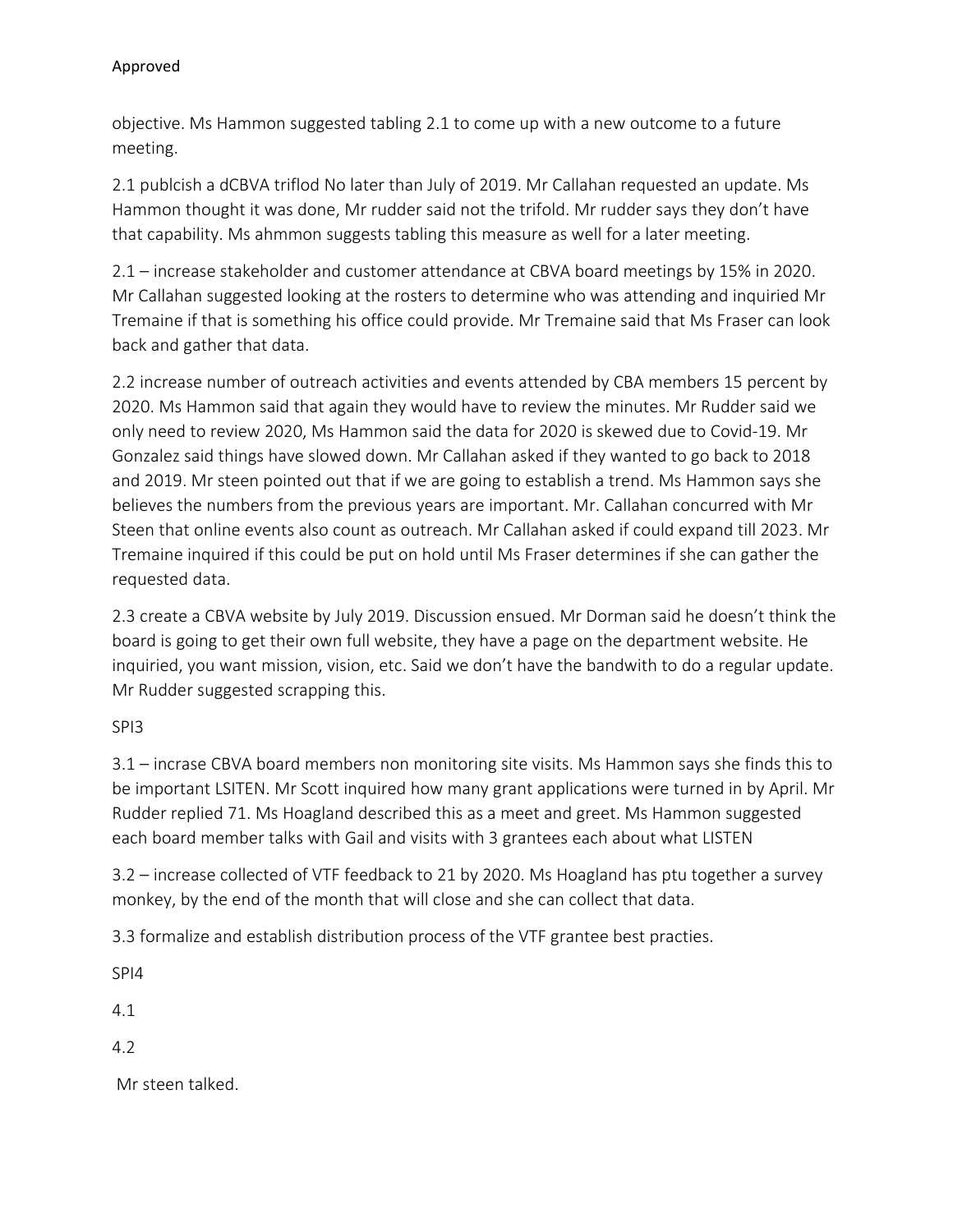objective. Ms Hammon suggested tabling 2.1 to come up with a new outcome to a future meeting.

2.1 publcish a dCBVA triflod No later than July of 2019. Mr Callahan requested an update. Ms Hammon thought it was done, Mr rudder said not the trifold. Mr rudder says they don't have that capability. Ms ahmmon suggests tabling this measure as well for a later meeting.

2.1 – increase stakeholder and customer attendance at CBVA board meetings by 15% in 2020. Mr Callahan suggested looking at the rosters to determine who was attending and inquiried Mr Tremaine if that is something his office could provide. Mr Tremaine said that Ms Fraser can look back and gather that data.

2.2 increase number of outreach activities and events attended by CBA members 15 percent by 2020. Ms Hammon said that again they would have to review the minutes. Mr Rudder said we only need to review 2020, Ms Hammon said the data for 2020 is skewed due to Covid-19. Mr Gonzalez said things have slowed down. Mr Callahan asked if they wanted to go back to 2018 and 2019. Mr steen pointed out that if we are going to establish a trend. Ms Hammon says she believes the numbers from the previous years are important. Mr. Callahan concurred with Mr Steen that online events also count as outreach. Mr Callahan asked if could expand till 2023. Mr Tremaine inquired if this could be put on hold until Ms Fraser determines if she can gather the requested data.

2.3 create a CBVA website by July 2019. Discussion ensued. Mr Dorman said he doesn't think the board is going to get their own full website, they have a page on the department website. He inquiried, you want mission, vision, etc. Said we don't have the bandwith to do a regular update. Mr Rudder suggested scrapping this.

# SPI3

3.1 – incrase CBVA board members non monitoring site visits. Ms Hammon says she finds this to be important LSITEN. Mr Scott inquired how many grant applications were turned in by April. Mr Rudder replied 71. Ms Hoagland described this as a meet and greet. Ms Hammon suggested each board member talks with Gail and visits with 3 grantees each about what LISTEN

3.2 – increase collected of VTF feedback to 21 by 2020. Ms Hoagland has ptu together a survey monkey, by the end of the month that will close and she can collect that data.

3.3 formalize and establish distribution process of the VTF grantee best practies.

SPI4

4.1

4.2

Mr steen talked.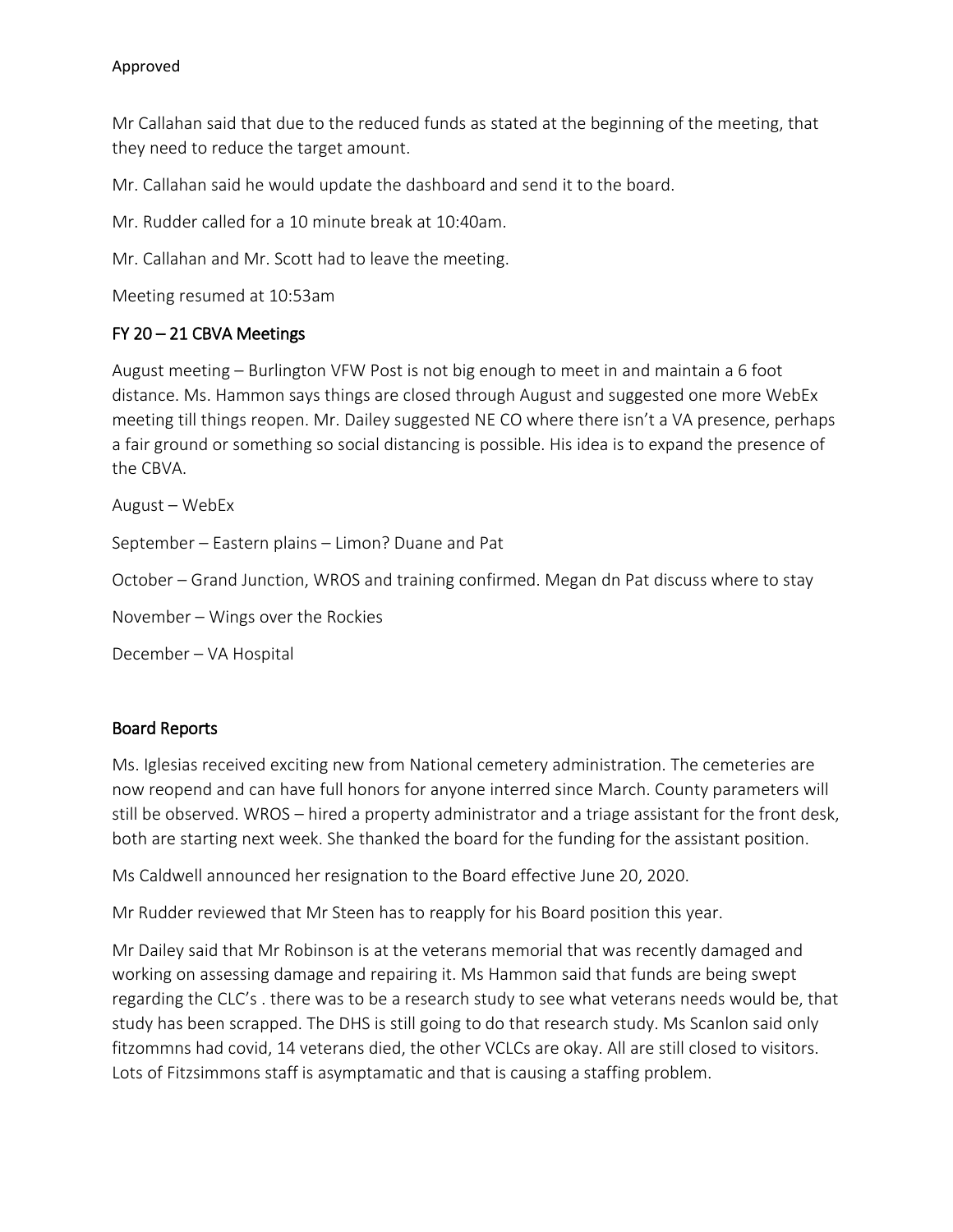Mr Callahan said that due to the reduced funds as stated at the beginning of the meeting, that they need to reduce the target amount.

Mr. Callahan said he would update the dashboard and send it to the board.

Mr. Rudder called for a 10 minute break at 10:40am.

Mr. Callahan and Mr. Scott had to leave the meeting.

Meeting resumed at 10:53am

# FY 20 – 21 CBVA Meetings

August meeting – Burlington VFW Post is not big enough to meet in and maintain a 6 foot distance. Ms. Hammon says things are closed through August and suggested one more WebEx meeting till things reopen. Mr. Dailey suggested NE CO where there isn't a VA presence, perhaps a fair ground or something so social distancing is possible. His idea is to expand the presence of the CBVA.

August – WebEx September – Eastern plains – Limon? Duane and Pat October – Grand Junction, WROS and training confirmed. Megan dn Pat discuss where to stay November – Wings over the Rockies December – VA Hospital

### Board Reports

Ms. Iglesias received exciting new from National cemetery administration. The cemeteries are now reopend and can have full honors for anyone interred since March. County parameters will still be observed. WROS – hired a property administrator and a triage assistant for the front desk, both are starting next week. She thanked the board for the funding for the assistant position.

Ms Caldwell announced her resignation to the Board effective June 20, 2020.

Mr Rudder reviewed that Mr Steen has to reapply for his Board position this year.

Mr Dailey said that Mr Robinson is at the veterans memorial that was recently damaged and working on assessing damage and repairing it. Ms Hammon said that funds are being swept regarding the CLC's . there was to be a research study to see what veterans needs would be, that study has been scrapped. The DHS is still going to do that research study. Ms Scanlon said only fitzommns had covid, 14 veterans died, the other VCLCs are okay. All are still closed to visitors. Lots of Fitzsimmons staff is asymptamatic and that is causing a staffing problem.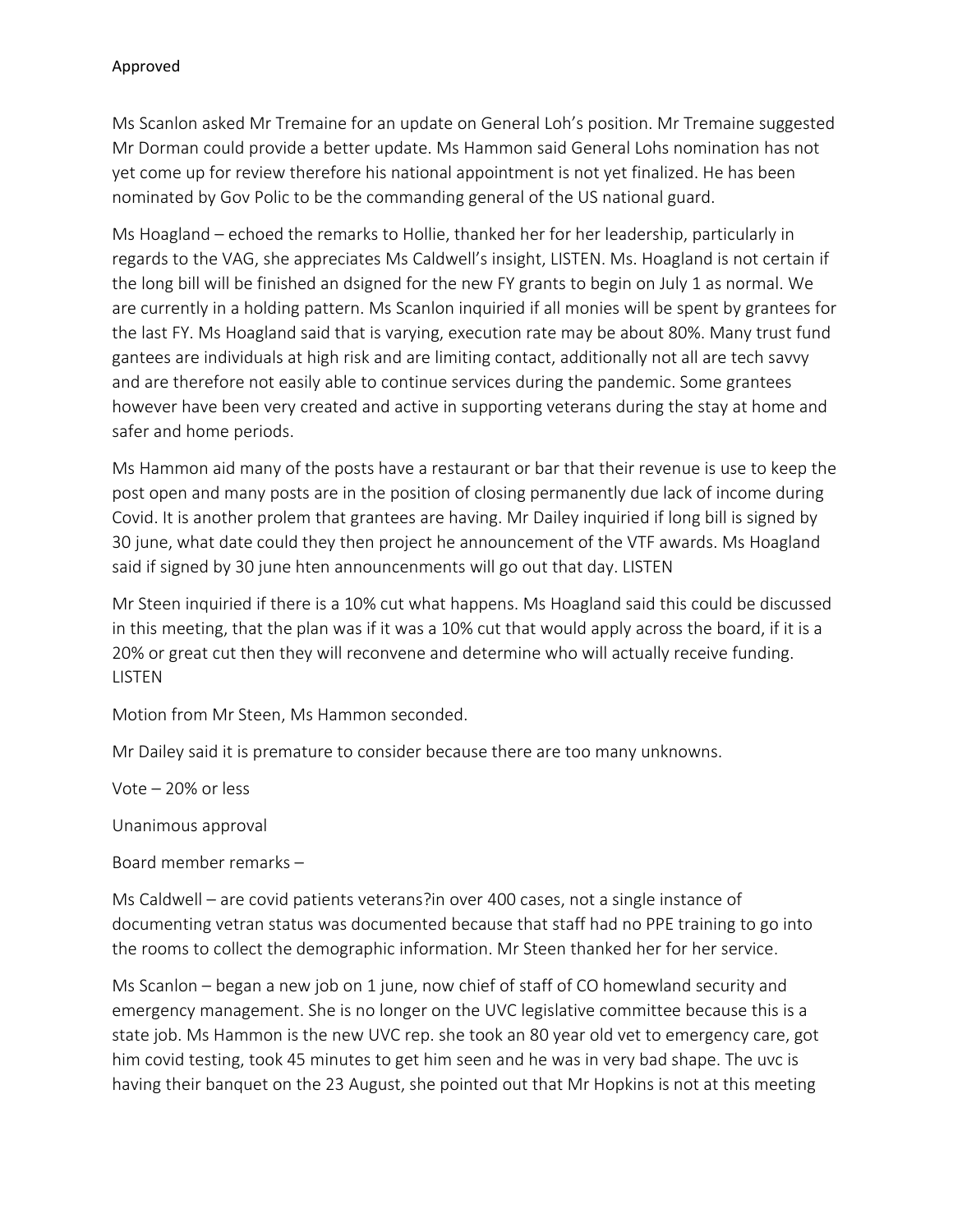Ms Scanlon asked Mr Tremaine for an update on General Loh's position. Mr Tremaine suggested Mr Dorman could provide a better update. Ms Hammon said General Lohs nomination has not yet come up for review therefore his national appointment is not yet finalized. He has been nominated by Gov Polic to be the commanding general of the US national guard.

Ms Hoagland – echoed the remarks to Hollie, thanked her for her leadership, particularly in regards to the VAG, she appreciates Ms Caldwell's insight, LISTEN. Ms. Hoagland is not certain if the long bill will be finished an dsigned for the new FY grants to begin on July 1 as normal. We are currently in a holding pattern. Ms Scanlon inquiried if all monies will be spent by grantees for the last FY. Ms Hoagland said that is varying, execution rate may be about 80%. Many trust fund gantees are individuals at high risk and are limiting contact, additionally not all are tech savvy and are therefore not easily able to continue services during the pandemic. Some grantees however have been very created and active in supporting veterans during the stay at home and safer and home periods.

Ms Hammon aid many of the posts have a restaurant or bar that their revenue is use to keep the post open and many posts are in the position of closing permanently due lack of income during Covid. It is another prolem that grantees are having. Mr Dailey inquiried if long bill is signed by 30 june, what date could they then project he announcement of the VTF awards. Ms Hoagland said if signed by 30 june hten announcenments will go out that day. LISTEN

Mr Steen inquiried if there is a 10% cut what happens. Ms Hoagland said this could be discussed in this meeting, that the plan was if it was a 10% cut that would apply across the board, if it is a 20% or great cut then they will reconvene and determine who will actually receive funding. LISTEN

Motion from Mr Steen, Ms Hammon seconded.

Mr Dailey said it is premature to consider because there are too many unknowns.

Vote – 20% or less

Unanimous approval

Board member remarks –

Ms Caldwell – are covid patients veterans?in over 400 cases, not a single instance of documenting vetran status was documented because that staff had no PPE training to go into the rooms to collect the demographic information. Mr Steen thanked her for her service.

Ms Scanlon – began a new job on 1 june, now chief of staff of CO homewland security and emergency management. She is no longer on the UVC legislative committee because this is a state job. Ms Hammon is the new UVC rep. she took an 80 year old vet to emergency care, got him covid testing, took 45 minutes to get him seen and he was in very bad shape. The uvc is having their banquet on the 23 August, she pointed out that Mr Hopkins is not at this meeting